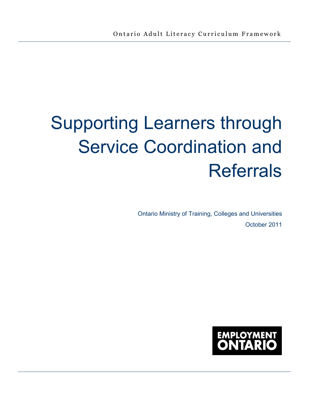# Supporting Learners through Service Coordination and Referrals

Ontario Ministry of Training, Colleges and Universities October 2011

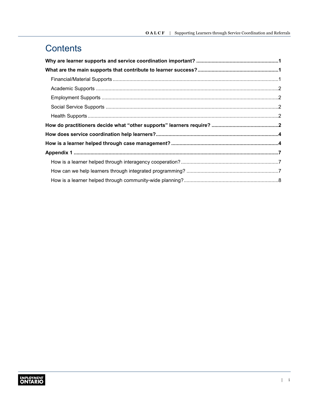### **Contents**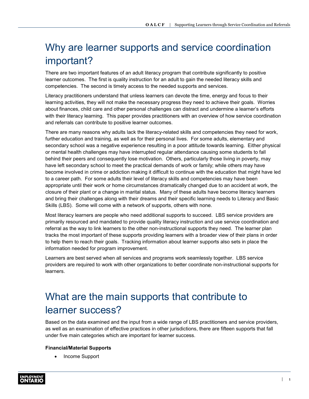### <span id="page-2-0"></span>Why are learner supports and service coordination important?

There are two important features of an adult literacy program that contribute significantly to positive learner outcomes. The first is quality instruction for an adult to gain the needed literacy skills and competencies. The second is timely access to the needed supports and services.

Literacy practitioners understand that unless learners can devote the time, energy and focus to their learning activities, they will not make the necessary progress they need to achieve their goals. Worries about finances, child care and other personal challenges can distract and undermine a learner's efforts with their literacy learning. This paper provides practitioners with an overview of how service coordination and referrals can contribute to positive learner outcomes.

There are many reasons why adults lack the literacy-related skills and competencies they need for work, further education and training, as well as for their personal lives. For some adults, elementary and secondary school was a negative experience resulting in a poor attitude towards learning. Either physical or mental health challenges may have interrupted regular attendance causing some students to fall behind their peers and consequently lose motivation. Others, particularly those living in poverty, may have left secondary school to meet the practical demands of work or family; while others may have become involved in crime or addiction making it difficult to continue with the education that might have led to a career path. For some adults their level of literacy skills and competencies may have been appropriate until their work or home circumstances dramatically changed due to an accident at work, the closure of their plant or a change in marital status. Many of these adults have become literacy learners and bring their challenges along with their dreams and their specific learning needs to Literacy and Basic Skills (LBS). Some will come with a network of supports, others with none.

Most literacy learners are people who need additional supports to succeed. LBS service providers are primarily resourced and mandated to provide quality literacy instruction and use service coordination and referral as the way to link learners to the other non-instructional supports they need. The learner plan tracks the most important of these supports providing learners with a broader view of their plans in order to help them to reach their goals. Tracking information about learner supports also sets in place the information needed for program improvement.

Learners are best served when all services and programs work seamlessly together. LBS service providers are required to work with other organizations to better coordinate non-instructional supports for learners.

# What are the main supports that contribute to learner success?

Based on the data examined and the input from a wide range of LBS practitioners and service providers, as well as an examination of effective practices in other jurisdictions, there are fifteen supports that fall under five main categories which are important for learner success.

#### **Financial/Material Supports**

• Income Support

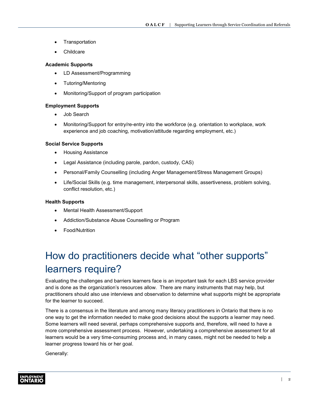- <span id="page-3-0"></span>**Transportation**
- **Childcare**

#### **Academic Supports**

- LD Assessment/Programming
- Tutoring/Mentoring
- Monitoring/Support of program participation

#### **Employment Supports**

- Job Search
- Monitoring/Support for entry/re-entry into the workforce (e.g. orientation to workplace, work experience and job coaching, motivation/attitude regarding employment, etc.)

#### **Social Service Supports**

- Housing Assistance
- Legal Assistance (including parole, pardon, custody, CAS)
- Personal/Family Counselling (including Anger Management/Stress Management Groups)
- Life/Social Skills (e.g. time management, interpersonal skills, assertiveness, problem solving, conflict resolution, etc.)

#### **Health Supports**

- Mental Health Assessment/Support
- Addiction/Substance Abuse Counselling or Program
- Food/Nutrition

# How do practitioners decide what "other supports" learners require?

Evaluating the challenges and barriers learners face is an important task for each LBS service provider and is done as the organization's resources allow. There are many instruments that may help, but practitioners should also use interviews and observation to determine what supports might be appropriate for the learner to succeed.

There is a consensus in the literature and among many literacy practitioners in Ontario that there is no one way to get the information needed to make good decisions about the supports a learner may need. Some learners will need several, perhaps comprehensive supports and, therefore, will need to have a more comprehensive assessment process. However, undertaking a comprehensive assessment for all learners would be a very time-consuming process and, in many cases, might not be needed to help a learner progress toward his or her goal.

Generally: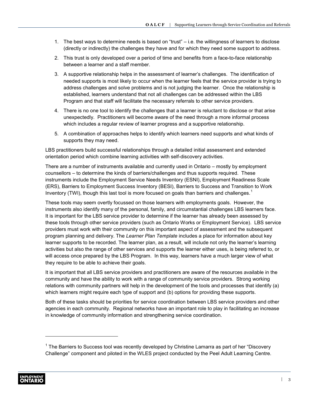- 1. The best ways to determine needs is based on "trust" i.e. the willingness of learners to disclose (directly or indirectly) the challenges they have and for which they need some support to address.
- 2. This trust is only developed over a period of time and benefits from a face-to-face relationship between a learner and a staff member.
- 3. A supportive relationship helps in the assessment of learner's challenges. The identification of needed supports is most likely to occur when the learner feels that the service provider is trying to address challenges and solve problems and is not judging the learner. Once the relationship is established, learners understand that not all challenges can be addressed within the LBS Program and that staff will facilitate the necessary referrals to other service providers.
- 4. There is no one tool to identify the challenges that a learner is reluctant to disclose or that arise unexpectedly. Practitioners will become aware of the need through a more informal process which includes a regular review of learner progress and a supportive relationship.
- 5. A combination of approaches helps to identify which learners need supports and what kinds of supports they may need.

LBS practitioners build successful relationships through a detailed initial assessment and extended orientation period which combine learning activities with self-discovery activities.

There are a number of instruments available and currently used in Ontario – mostly by employment counsellors – to determine the kinds of barriers/challenges and thus supports required. These instruments include the Employment Service Needs Inventory (ESNI), Employment Readiness Scale (ERS), Barriers to Employment Success Inventory (BESI), Barriers to Success and Transition to Work Inventory (TWI), though this last tool is more focused on goals than barriers and challenges.<sup>1</sup>

These tools may seem overtly focussed on those learners with employments goals. However, the instruments also identify many of the personal, family, and circumstantial challenges LBS learners face. It is important for the LBS service provider to determine if the learner has already been assessed by these tools through other service providers (such as Ontario Works or Employment Service). LBS service providers must work with their community on this important aspect of assessment and the subsequent program planning and delivery. The *Learner Plan Template* includes a place for information about key learner supports to be recorded. The learner plan, as a result, will include not only the learner's learning activities but also the range of other services and supports the learner either uses, is being referred to, or will access once prepared by the LBS Program. In this way, learners have a much larger view of what they require to be able to achieve their goals.

It is important that all LBS service providers and practitioners are aware of the resources available in the community and have the ability to work with a range of community service providers. Strong working relations with community partners will help in the development of the tools and processes that identify (a) which learners might require each type of support and (b) options for providing these supports.

Both of these tasks should be priorities for service coordination between LBS service providers and other agencies in each community. Regional networks have an important role to play in facilitating an increase in knowledge of community information and strengthening service coordination.

 $1$  The Barriers to Success tool was recently developed by Christine Lamarra as part of her "Discovery" Challenge" component and piloted in the WLES project conducted by the Peel Adult Learning Centre.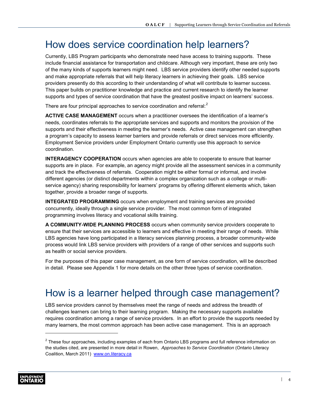### <span id="page-5-0"></span>How does service coordination help learners?

Currently, LBS Program participants who demonstrate need have access to training supports. These include financial assistance for transportation and childcare. Although very important, these are only two of the many kinds of supports learners might need. LBS service providers identify other needed supports and make appropriate referrals that will help literacy learners in achieving their goals. LBS service providers presently do this according to their understanding of what will contribute to learner success. This paper builds on practitioner knowledge and practice and current research to identify the learner supports and types of service coordination that have the greatest positive impact on learners' success.

There are four principal approaches to service coordination and referral:<sup>2</sup>

**ACTIVE CASE MANAGEMENT** occurs when a practitioner oversees the identification of a learner's needs, coordinates referrals to the appropriate services and supports and monitors the provision of the supports and their effectiveness in meeting the learner's needs. Active case management can strengthen a program's capacity to assess learner barriers and provide referrals or direct services more efficiently. Employment Service providers under Employment Ontario currently use this approach to service coordination.

**INTERAGENCY COOPERATION** occurs when agencies are able to cooperate to ensure that learner supports are in place. For example, an agency might provide all the assessment services in a community and track the effectiveness of referrals. Cooperation might be either formal or informal, and involve different agencies (or distinct departments within a complex organization such as a college or multiservice agency) sharing responsibility for learners' programs by offering different elements which, taken together, provide a broader range of supports.

**INTEGRATED PROGRAMMING** occurs when employment and training services are provided concurrently, ideally through a single service provider. The most common form of integrated programming involves literacy and vocational skills training.

**A COMMUNITY-WIDE PLANNING PROCESS** occurs when community service providers cooperate to ensure that their services are accessible to learners and effective in meeting their range of needs. While LBS agencies have long participated in a literacy services planning process, a broader community-wide process would link LBS service providers with providers of a range of other services and supports such as health or social service providers.

For the purposes of this paper case management, as one form of service coordination, will be described in detail. Please see Appendix 1 for more details on the other three types of service coordination.

### How is a learner helped through case management?

LBS service providers cannot by themselves meet the range of needs and address the breadth of challenges learners can bring to their learning program. Making the necessary supports available requires coordination among a range of service providers. In an effort to provide the supports needed by many learners, the most common approach has been active case management. This is an approach

 $2$  These four approaches, including examples of each from Ontario LBS programs and full reference information on the studies cited, are presented in more detail in Rowen, *Approaches to Service Coordination* (Ontario Literacy Coalition, March 2011) [www.on.literacy.ca](http://www.on.literacy.ca)

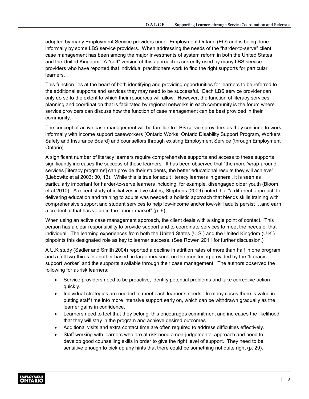adopted by many Employment Service providers under Employment Ontario (EO) and is being done informally by some LBS service providers. When addressing the needs of the "harder-to-serve" client, case management has been among the major investments of system reform in both the United States and the United Kingdom. A "soft" version of this approach is currently used by many LBS service providers who have reported that individual practitioners work to find the right supports for particular learners.

This function lies at the heart of both identifying and providing opportunities for learners to be referred to the additional supports and services they may need to be successful. Each LBS service provider can only do so to the extent to which their resources will allow. However, the function of literacy services planning and coordination that is facilitated by regional networks in each community is the forum where service providers can discuss how the function of case management can be best provided in their community.

The concept of active case management will be familiar to LBS service providers as they continue to work informally with income support caseworkers (Ontario Works, Ontario Disability Support Program, Workers Safety and Insurance Board) and counsellors through existing Employment Service (through Employment Ontario).

A significant number of literacy learners require comprehensive supports and access to these supports significantly increases the success of these learners. It has been observed that "the more 'wrap-around' services [literacy programs] can provide their students, the better educational results they will achieve" (Liebowitz et al 2003: 30, 13). While this is true for adult literacy learners in general, it is seen as particularly important for harder-to-serve learners including, for example, disengaged older youth (Bloom et al 2010). A recent study of initiatives in five states, Stephens (2009) noted that "a different approach to delivering education and training to adults was needed: a holistic approach that blends skills training with comprehensive support and student services to help low-income and/or low-skill adults persist …and earn a credential that has value in the labour market" (p. 6).

When using an active case management approach, the client deals with a single point of contact. This person has a clear responsibility to provide support and to coordinate services to meet the needs of that individual. The learning experiences from both the United States (U.S.) and the United Kingdom (U.K.) pinpoints this designated role as key to learner success. (See Rowen 2011 for further discussion.)

A U.K study (Sadler and Smith 2004) reported a decline in attrition rates of more than half in one program and a full two-thirds in another based, in large measure, on the monitoring provided by the "literacy support worker" and the supports available through their case management. The authors observed the following for at-risk learners:

- Service providers need to be proactive, identify potential problems and take corrective action quickly.
- Individual strategies are needed to meet each learner's needs. In many cases there is value in putting staff time into more intensive support early on, which can be withdrawn gradually as the learner gains in confidence.
- Learners need to feel that they belong: this encourages commitment and increases the likelihood that they will stay in the program and achieve desired outcomes.
- Additional visits and extra contact time are often required to address difficulties effectively.
- Staff working with learners who are at risk need a non-judgemental approach and need to develop good counselling skills in order to give the right level of support. They need to be sensitive enough to pick up any hints that there could be something not quite right (p. 29).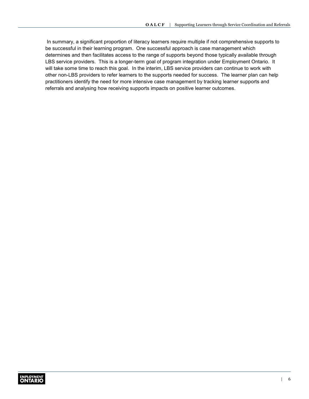In summary, a significant proportion of literacy learners require multiple if not comprehensive supports to be successful in their learning program. One successful approach is case management which determines and then facilitates access to the range of supports beyond those typically available through LBS service providers. This is a longer-term goal of program integration under Employment Ontario. It will take some time to reach this goal. In the interim, LBS service providers can continue to work with other non-LBS providers to refer learners to the supports needed for success. The learner plan can help practitioners identify the need for more intensive case management by tracking learner supports and referrals and analysing how receiving supports impacts on positive learner outcomes.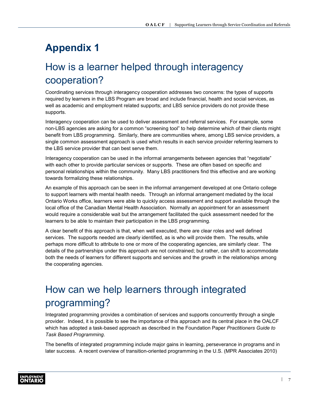### <span id="page-8-0"></span>**Appendix 1**

### How is a learner helped through interagency cooperation?

Coordinating services through interagency cooperation addresses two concerns: the types of supports required by learners in the LBS Program are broad and include financial, health and social services, as well as academic and employment related supports; and LBS service providers do not provide these supports.

Interagency cooperation can be used to deliver assessment and referral services. For example, some non-LBS agencies are asking for a common "screening tool" to help determine which of their clients might benefit from LBS programming. Similarly, there are communities where, among LBS service providers, a single common assessment approach is used which results in each service provider referring learners to the LBS service provider that can best serve them.

Interagency cooperation can be used in the informal arrangements between agencies that "negotiate" with each other to provide particular services or supports. These are often based on specific and personal relationships within the community. Many LBS practitioners find this effective and are working towards formalizing these relationships.

An example of this approach can be seen in the informal arrangement developed at one Ontario college to support learners with mental health needs. Through an informal arrangement mediated by the local Ontario Works office, learners were able to quickly access assessment and support available through the local office of the Canadian Mental Health Association. Normally an appointment for an assessment would require a considerable wait but the arrangement facilitated the quick assessment needed for the learners to be able to maintain their participation in the LBS programming.

A clear benefit of this approach is that, when well executed, there are clear roles and well defined services. The supports needed are clearly identified, as is who will provide them. The results, while perhaps more difficult to attribute to one or more of the cooperating agencies, are similarly clear. The details of the partnerships under this approach are not constrained; but rather, can shift to accommodate both the needs of learners for different supports and services and the growth in the relationships among the cooperating agencies.

# How can we help learners through integrated programming?

Integrated programming provides a combination of services and supports concurrently through a single provider. Indeed, it is possible to see the importance of this approach and its central place in the OALCF which has adopted a task-based approach as described in the Foundation Paper *Practitioners Guide to Task Based Programming*.

The benefits of integrated programming include major gains in learning, perseverance in programs and in later success. A recent overview of transition-oriented programming in the U.S. (MPR Associates 2010)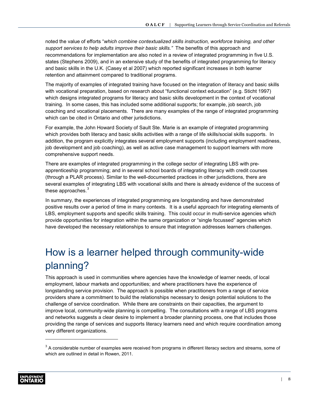<span id="page-9-0"></span>noted the value of efforts "*which combine contextualized skills instruction, workforce training, and other support services to help adults improve their basic skills."* The benefits of this approach and recommendations for implementation are also noted in a review of integrated programming in five U.S. states (Stephens 2009), and in an extensive study of the benefits of integrated programming for literacy and basic skills in the U.K. (Casey et al 2007) which reported significant increases in both learner retention and attainment compared to traditional programs.

The majority of examples of integrated training have focused on the integration of literacy and basic skills with vocational preparation, based on research about "functional context education" (e.g. Sticht 1997) which designs integrated programs for literacy and basic skills development in the context of vocational training. In some cases, this has included some additional supports; for example, job search, job coaching and vocational placements. There are many examples of the range of integrated programming which can be cited in Ontario and other jurisdictions.

For example, the John Howard Society of Sault Ste. Marie is an example of integrated programming which provides both literacy and basic skills activities with a range of life skills/social skills supports. In addition, the program explicitly integrates several employment supports (including employment readiness, job development and job coaching), as well as active case management to support learners with more comprehensive support needs.

There are examples of integrated programming in the college sector of integrating LBS with preapprenticeship programming; and in several school boards of integrating literacy with credit courses (through a PLAR process). Similar to the well-documented practices in other jurisdictions, there are several examples of integrating LBS with vocational skills and there is already evidence of the success of these approaches. $3$ 

In summary, the experiences of integrated programming are longstanding and have demonstrated positive results over a period of time in many contexts. It is a useful approach for integrating elements of LBS, employment supports and specific skills training. This could occur in multi-service agencies which provide opportunities for integration within the same organization or "single focussed" agencies which have developed the necessary relationships to ensure that integration addresses learners challenges.

### How is a learner helped through community-wide planning?

This approach is used in communities where agencies have the knowledge of learner needs, of local employment, labour markets and opportunities; and where practitioners have the experience of longstanding service provision. The approach is possible when practitioners from a range of service providers share a commitment to build the relationships necessary to design potential solutions to the challenge of service coordination. While there are constraints on their capacities, the argument to improve local, community-wide planning is compelling. The consultations with a range of LBS programs and networks suggests a clear desire to implement a broader planning process, one that includes those providing the range of services and supports literacy learners need and which require coordination among very different organizations.

 $3$  A considerable number of examples were received from programs in different literacy sectors and streams, some of which are outlined in detail in Rowen, 2011.